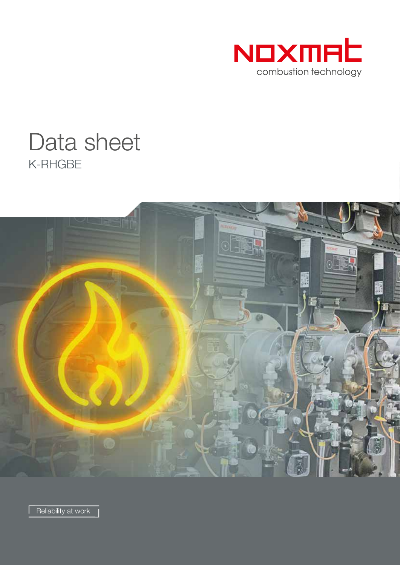

# K-RHGBE Data sheet



Reliability at work |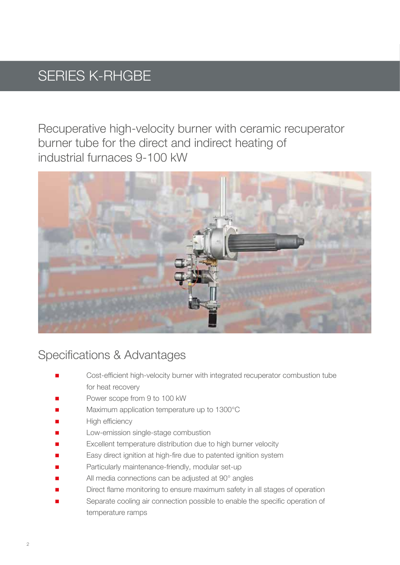### SERIES K-RHGBE

Recuperative high-velocity burner with ceramic recuperator burner tube for the direct and indirect heating of industrial furnaces 9-100 kW



#### Specifications & Advantages

- Cost-efficient high-velocity burner with integrated recuperator combustion tube for heat recovery
- Power scope from 9 to 100 kW
- Maximum application temperature up to 1300°C
- High efficiency
- Low-emission single-stage combustion
- Excellent temperature distribution due to high burner velocity
- Easy direct ignition at high-fire due to patented ignition system
- Particularly maintenance-friendly, modular set-up
- All media connections can be adjusted at 90° angles
- Direct flame monitoring to ensure maximum safety in all stages of operation
- Separate cooling air connection possible to enable the specific operation of temperature ramps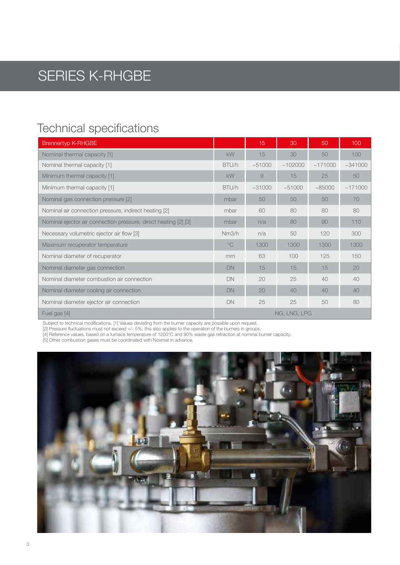### SERIES K-RHGBE

#### Technical specifications

| <b>Brennertyp K-RHGBE</b>                                       |              | 15    | 30           | 50      | 100     |
|-----------------------------------------------------------------|--------------|-------|--------------|---------|---------|
| Nominal thermal capacity [1]                                    | <b>kW</b>    | 15    | 30           | 50      | 100     |
| Nominal thermal capacity [1]                                    | BTU/h        | ~1000 | ~102000      | ~171000 | ~1000   |
| Minimum thermal capacity [1]                                    | <b>kW</b>    | 9     | 15           | 25      | 50      |
| Minimum thermal capacity [1]                                    | BTU/h        | ~1000 | ~1000        | ~185000 | ~171000 |
| Nominal gas connection pressure [2]                             | mbar         | 50    | 50           | 50      | 70      |
| Nominal air connection pressure, indirect heating [2]           | mbar         | 60    | 80           | 80      | 80      |
| Nominal ejector air connection pressure, direct heating [2] [3] | mbar         | n/a   | 80           | 90      | 110     |
| Necessary volumetric ejector air flow [3]                       | Nm3/h        | n/a   | 50           | 120     | 300     |
| Maximum recuperator temperature                                 | $^{\circ}$ C | 1300  | 1300         | 1300    | 1300    |
| Nominal diameter of recuperator                                 | mm           | 63    | 100          | 125     | 150     |
| Nominal diameter gas connection                                 | <b>DN</b>    | 15    | 15           | 15      | 20      |
| Nominal diameter combustion air connection                      | DN           | 20    | 25           | 40      | 40      |
| Nominal diameter cooling air connection                         | DN           | 20    | 40           | 40      | 40      |
| Nominal diameter ejector air connection                         | <b>DN</b>    | 25    | 25           | 50      | 80      |
| Fuel gas [4]                                                    |              |       | NG, LNG, LPG |         |         |

Subject to technical modifications. [1] Values deviating from the burner capacity are possible upon request.

[2] Pressure fluctuations must not exceed +/- 5%; this also applies to the operation of the burners in groups.

[4] Reference values, based on a furnace temperature of 1200°C and 90% waste gas retraction at nominal burner capacity.

[5] Other combustion gases must be coordinated with Noxmat in advance.

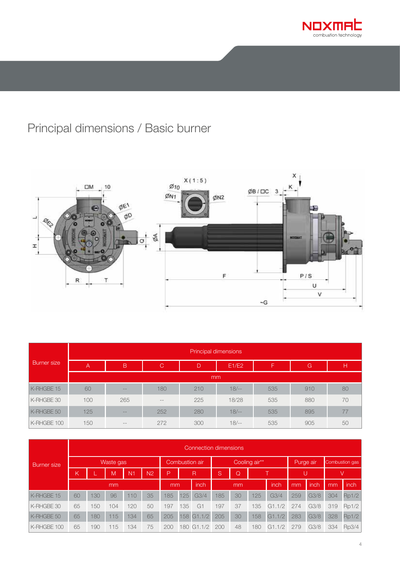

### Principal dimensions / Basic burner



| <b>Burner</b> size | Principal dimensions          |                   |               |     |        |     |     |    |  |  |  |  |  |  |
|--------------------|-------------------------------|-------------------|---------------|-----|--------|-----|-----|----|--|--|--|--|--|--|
|                    | $\mathsf B$<br>$\overline{A}$ |                   | $\mathcal{C}$ | D   | E1/E2  | F   | G   | н  |  |  |  |  |  |  |
|                    |                               | mm                |               |     |        |     |     |    |  |  |  |  |  |  |
| K-RHGBE 15         | 60                            | $\qquad \qquad -$ | 180           | 210 | $18/-$ | 535 | 910 | 80 |  |  |  |  |  |  |
| K-RHGBE 30         | 100                           | 265               | $- -$         | 225 | 18/28  | 535 | 880 | 70 |  |  |  |  |  |  |
| K-RHGBE 50         | 125                           | $\qquad \qquad -$ | 252           | 280 | $18/-$ | 535 | 895 | 77 |  |  |  |  |  |  |
| K-RHGBE 100        | 150                           | $\qquad \qquad -$ | 272           | 300 | $18/-$ | 535 | 905 | 50 |  |  |  |  |  |  |

| <b>Burner</b> size | Connection dimensions |                |     |                |                |                   |     |                  |              |    |                |            |      |      |             |       |
|--------------------|-----------------------|----------------|-----|----------------|----------------|-------------------|-----|------------------|--------------|----|----------------|------------|------|------|-------------|-------|
|                    |                       | Combustion air |     |                | Cooling air**  |                   |     |                  | Purge air    |    | Combustion gas |            |      |      |             |       |
|                    | К                     |                | M   | N <sub>1</sub> | N <sub>2</sub> | P                 |     | R                | <sub>S</sub> | Q  |                |            |      |      |             | V     |
|                    | mm                    |                |     |                |                | <i>inch</i><br>mm |     | mm               |              |    | inch           | mm         | inch | mm   | <i>inch</i> |       |
| K-RHGBE 15         | 60                    | 130            | 96  | 110            | 35             | 185               | 125 | G <sub>3/4</sub> | 185          | 30 | 125            | G3/4       | 259  | G3/8 | 304         | Rp1/2 |
| K-RHGBE 30         | 65                    | 150            | 104 | 120            | 50             | 197               | 135 | $G^*$            | 197          | 37 | 135            | .1/2<br>G1 | 274  | G3/8 | 319         | Rp1/2 |
| K-RHGBE 50         | 65                    | 180            | 115 | 134            | 65             | 205               | 158 | G1.1/2           | 205          | 30 | 158            | G1.1/2     | 283  | G3/8 | 328         | Rp1/2 |
| K-RHGBE 100        | 65                    | 190            | 115 | 134            | 75             | 200               | 180 | G1               | 200          | 48 | 180            | .1/2<br>G1 | 279  | G3/8 | 334         | Rp3/4 |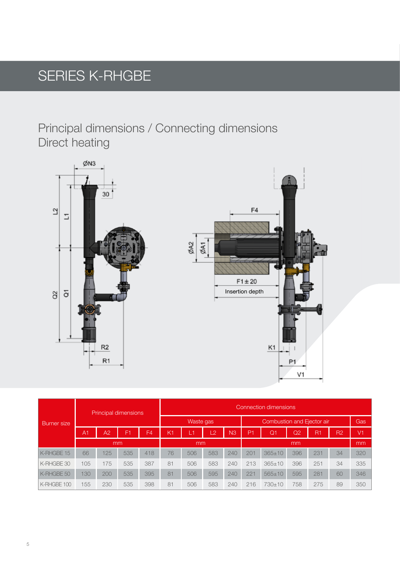## SERIES K-RHGBE

Principal dimensions / Connecting dimensions Direct heating



| Burner size |                |                | Principal dimensions |                | Connection dimensions |     |                |                |                |                |                |     |                |                |
|-------------|----------------|----------------|----------------------|----------------|-----------------------|-----|----------------|----------------|----------------|----------------|----------------|-----|----------------|----------------|
|             |                |                |                      |                | Waste gas             |     |                |                |                | Gas            |                |     |                |                |
|             | A <sub>1</sub> | A <sub>2</sub> | F <sub>1</sub>       | F <sub>4</sub> | K1                    | Ø   | $\overline{2}$ | N <sub>3</sub> | P <sub>1</sub> | Q <sub>1</sub> | Q <sub>2</sub> | R1  | R <sub>2</sub> | V <sub>1</sub> |
|             |                | mm             |                      |                | mm                    |     |                |                |                |                | mm             |     |                |                |
| K-RHGBE 15  | 66             | 125            | 535                  | 418            | 76                    | 506 | 583            | 240            | 201            | $365 \pm 10$   | 396            | 231 | 34             | 320            |
| K-RHGBE 30  | 105            | 175            | 535                  | 387            | 81                    | 506 | 583            | 240            | 213            | $365 \pm 10$   | 396            | 251 | 34             | 335            |
| K-RHGBE 50  | 130            | 200            | 535                  | 395            | 81                    | 506 | 595            | 240            | 221            | $565 \pm 10$   | 595            | 281 | 60             | 346            |
| K-RHGBE 100 | 155            | 230            | 535                  | 398            | 81                    | 506 | 583            | 240            | 216            | $730 + 10$     | 758            | 275 | 89             | 350            |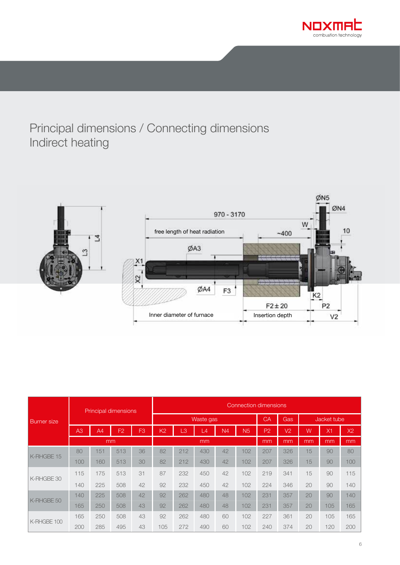

#### Principal dimensions / Connecting dimensions Indirect heating



| <b>Burner</b> size |     | <b>Principal dimensions</b> |                |                | <b>Connection dimensions</b> |     |           |                |                |                |                |             |     |     |  |
|--------------------|-----|-----------------------------|----------------|----------------|------------------------------|-----|-----------|----------------|----------------|----------------|----------------|-------------|-----|-----|--|
|                    |     |                             |                |                |                              |     | Waste gas |                |                | CA             | Gas            | Jacket tube |     |     |  |
|                    | A3  | A <sub>4</sub>              | F <sub>2</sub> | F <sub>3</sub> | K <sub>2</sub>               | LЗ  | L4        | N <sub>4</sub> | N <sub>5</sub> | P <sub>2</sub> | V <sub>2</sub> | Ŵ           | X1  | X2  |  |
|                    |     |                             | mm             |                |                              |     | mm        |                |                | mm             | mm             | mm          | mm  | mm  |  |
| K-RHGBE 15         | 80  | 151                         | 513            | 36             | 82                           | 212 | 430       | 42             | 102            | 207            | 326            | 15          | 90  | 80  |  |
|                    | 100 | 160                         | 513            | 30             | 82                           | 212 | 430       | 42             | 102            | 207            | 326            | 15          | 90  | 100 |  |
| K-RHGBE 30         | 115 | 175                         | 513            | 31             | 87                           | 232 | 450       | 42             | 102            | 219            | 341            | 15          | 90  | 115 |  |
|                    | 140 | 225                         | 508            | 42             | 92                           | 232 | 450       | 42             | 102            | 224            | 346            | 20          | 90  | 140 |  |
|                    | 140 | 225                         | 508            | 42             | 92                           | 262 | 480       | 48             | 102            | 231            | 357            | 20          | 90  | 140 |  |
| K-RHGBE 50         | 165 | 250                         | 508            | 43             | 92                           | 262 | 480       | 48             | 102            | 231            | 357            | 20          | 105 | 165 |  |
|                    | 165 | 250                         | 508            | 43             | 92                           | 262 | 480       | 60             | 102            | 227            | 361            | 20          | 105 | 165 |  |
| K-RHGBE 100        | 200 | 285                         | 495            | 43             | 105                          | 272 | 490       | 60             | 102            | 240            | 374            | 20          | 120 | 200 |  |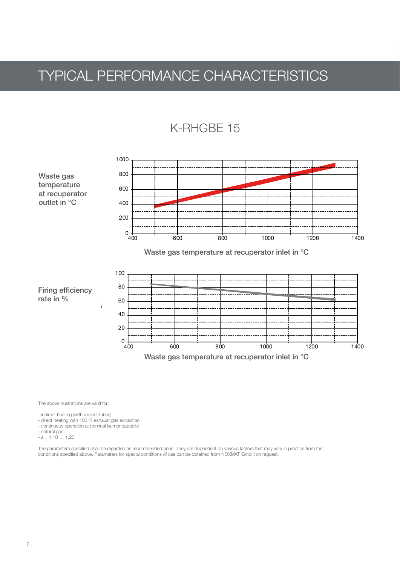### TYPICAL PERFORMANCE CHARACTERISTICS





The above illustrations are valid for:

- indirect heating (with radiant tubes)

- direct heating with 100 % exhaust gas extraction

- continuous operation at nominal burner capacity
- natural gas
- $\lambda = 1,10$  ... 1,20

The parameters specified shall be regarded as recommended ones. They are dependent on various factors that may vary in practice from the conditions specified above. Parameters for special conditions of use can be obtained from NOXMAT GmbH on request.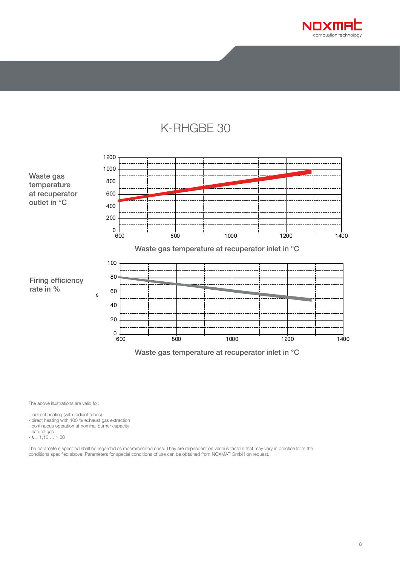

#### K-RHGBE 30



The above illustrations are valid for:

- indirect heating (with radiant tubes)<br>- direct heating with 100 % exhaust gas extraction
- continuous operation at nominal burner capacity
- 
- natural gas<br>-  $\lambda = 1,10 ... 1,20$

The parameters specified shall be regarded as recommended ones. They are dependent on various factors that may vary in practice from the conditions specified above. Parameters for special conditions of use can be obtained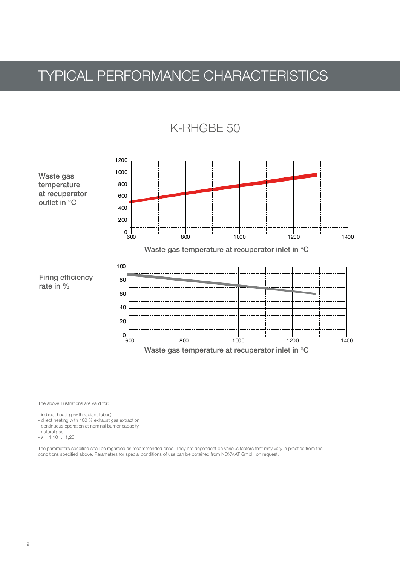### TYPICAL PERFORMANCE CHARACTERISTICS

#### K-RHGBE 50



The above illustrations are valid for:

- indirect heating (with radiant tubes)

- direct heating with 100 % exhaust gas extraction
- continuous operation at nominal burner capacity that is a state of the state of the state of the state of the state of the state of the state of the state of the state of the state of the state of the state of the state
- =>2/,/,0,.,."C,5+./D./,."-09,+78,."@E..,.:"1,23,"FG2"4H,I+,JJ,"K+.4-3I0,5+./D./,.",28-J3,.";+,"=>."5,2 - natural gas
- $-\lambda = 1,10 \ldots 1,20$

The parameters specified shall be regarded as recommended ones. They are dependent on various factors that may vary in practice from the conditions specified above. Parameters for special conditions of use can be obtained from NOXMAT GmbH on request.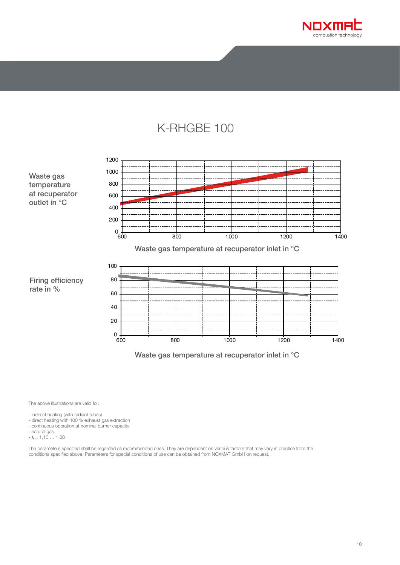

#### K-RHGBE 100



The above illustrations are valid for:

- indirect heating (with radiant tubes)<br>- direct heating with 100 % exhaust gas extraction
- continuous operation at nominal burner capacity
- natural gas
- $-\lambda = 1,10...1,20$

The parameters specified shall be regarded as recommended ones. They are dependent on various factors that may vary in practice from the<br>conditions specified above. Parameters for special conditions of use can be obtained